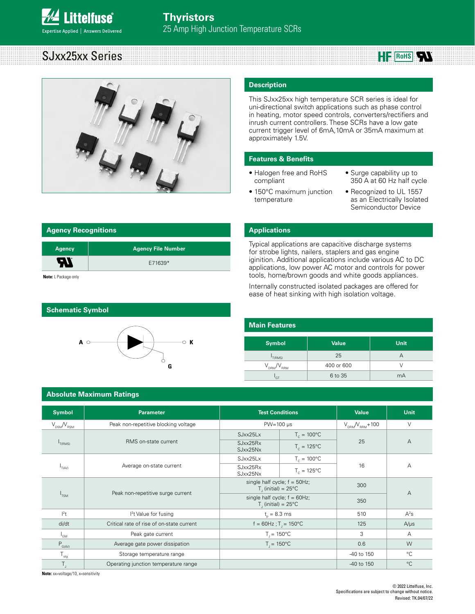# SJxx25xx Series

**Agency Recognitions**



# **Description**

This SJxx25xx high temperature SCR series is ideal for uni-directional switch applications such as phase control in heating, motor speed controls, converters/rectifiers and inrush current controllers. These SCRs have a low gate current trigger level of 6mA,10mA or 35mA maximum at approximately 1.5V.

# **Features & Benefits**

- Halogen free and RoHS compliant
- Surge capability up to 350 A at 60 Hz half cycle

**HE** ROHS<sup>**RV**</sup>

- 150°C maximum junction temperature
- Recognized to UL 1557 as an Electrically Isolated Semiconductor Device

### **Applications**

Typical applications are capacitive discharge systems for strobe lights, nailers, staplers and gas engine iginition. Additional applications include various AC to DC applications, low power AC motor and controls for power tools, home/brown goods and white goods appliances.

Internally constructed isolated packages are offered for ease of heat sinking with high isolation voltage.

| <b>Main Features</b> |              |      |  |  |  |  |
|----------------------|--------------|------|--|--|--|--|
| <b>Symbol</b>        | <b>Value</b> | Unit |  |  |  |  |
| T(RMS)               | 25           | А    |  |  |  |  |
| $V_{DBM}/V_{BBM}$    | 400 or 600   | V    |  |  |  |  |
| 'GT                  | 6 to 35      | mA   |  |  |  |  |

| <b>Agency</b>        | <b>Agency File Number</b> |
|----------------------|---------------------------|
| ŖV                   | E71639*                   |
| Note: L Package only |                           |



# **Absolute Maximum Ratings**

| <b>Symbol</b>               | Parameter                                 | <b>Test Conditions</b>                                           |                      | <b>Value</b>              | Unit           |
|-----------------------------|-------------------------------------------|------------------------------------------------------------------|----------------------|---------------------------|----------------|
| $V_{DSM}N_{BSM}$            | Peak non-repetitive blocking voltage      | $PW=100 \text{ }\mu\text{s}$                                     |                      | $V_{DBM} / V_{BBM} + 100$ | $\vee$         |
|                             |                                           | SJxx25Lx                                                         | $T_c = 100^{\circ}C$ |                           |                |
| $I_{T(RMS)}$                | RMS on-state current                      | SJxx25Rx<br>SJxx25Nx                                             | $T_c = 125^{\circ}C$ | 25                        | $\overline{A}$ |
|                             |                                           | SJxx25Lx                                                         | $T_c = 100^{\circ}C$ |                           | А              |
| $I_{T(AV)}$                 | Average on-state current                  | SJxx25Rx<br>SJxx25Nx                                             | $T_c = 125^{\circ}C$ | 16                        |                |
|                             | Peak non-repetitive surge current         | single half cycle; $f = 50Hz$ ;<br>T, (initial) = $25^{\circ}$ C |                      | 300                       | $\overline{A}$ |
| $I_{TSM}$                   |                                           | single half cycle; $f = 60Hz$ ;<br>$T_{1}$ (initial) = 25°C      |                      | 350                       |                |
| $ ^{2}t$                    | <sup>2</sup> t Value for fusing           | $t_{n} = 8.3$ ms                                                 |                      | 510                       | $A^2S$         |
| di/dt                       | Critical rate of rise of on-state current | $f = 60$ Hz; T <sub>1</sub> = 150 °C                             |                      | 125                       | $A/\mu s$      |
| <sup>I</sup> GM             | Peak gate current                         | $T_{1} = 150^{\circ}C$                                           |                      | 3                         | А              |
| $P_{G(AV)}$                 | Average gate power dissipation            | $T_{1} = 150^{\circ}C$                                           |                      | 0.6                       | W              |
| $\mathsf{T}_{\mathsf{stg}}$ | Storage temperature range                 |                                                                  |                      | -40 to 150                | $^{\circ}$ C   |
| $\mathsf{T}_\mathsf{J}$     | Operating junction temperature range      |                                                                  |                      | -40 to 150                | $^{\circ}$ C   |

**Note:** xx=voltage/10, x=sensitivity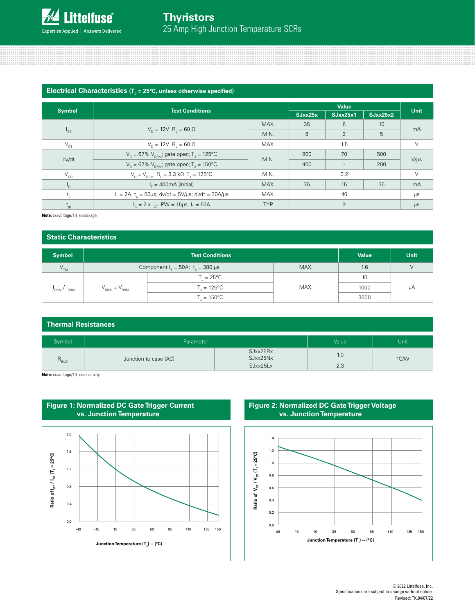

# **Electrical Characteristics (T<sub>J</sub> = 25°C, unless otherwise specified)**

|                            | <b>Test Conditions</b>                                                                  |      | Value   |          |          |             |
|----------------------------|-----------------------------------------------------------------------------------------|------|---------|----------|----------|-------------|
| <b>Symbol</b>              |                                                                                         |      | SJxx25x | SJxx25x1 | SJxx25x2 | <b>Unit</b> |
|                            |                                                                                         | MAX. | 35      | 6        | 10       |             |
| $I_{GT}$                   | $V_{p} = 12V$ R <sub>1</sub> = 60 $\Omega$                                              | MIN. | 8       | 2        | 5        | mA          |
| $V_{GT}$                   | $V_{p} = 12V$ R <sub>1</sub> = 60 $\Omega$                                              | MAX. | 1.5     |          | $\vee$   |             |
|                            | $V_p = 67\% V_{pBM}$ ; gate open; T <sub>1</sub> = 125°C                                |      | 800     | 70       | 500      |             |
| dv/dt                      | $V_p = 67\% V_{pem}$ ; gate open; T <sub>1</sub> = 150 °C                               | MIN. | 400     |          | 200      | $V/\mu s$   |
| $\mathsf{V}_{\mathsf{GD}}$ | $V_p = V_{prm} R_1 = 3.3 k\Omega T_1 = 125°C$                                           | MIN. | 0.2     |          | $\vee$   |             |
| Ч.                         | $I_r = 400 \text{mA}$ (initial)                                                         | MAX. | 75      | 15       | 35       | mA          |
| $L_{\alpha}$               | 40<br>MAX.<br>$I_{\tau} = 2A$ ; t <sub>r</sub> = 50 µs; dv/dt = 5 V/µs; di/dt = 30 A/µs |      |         | $\mu s$  |          |             |
| $t_{gt}$                   | $I_c = 2 \times I_{cr}$ PW = 15 µs $I_r = 50$ A                                         | TYP. |         | 2        |          | $\mu s$     |

**Note:** xx=voltage/10, x=package

# **Static Characteristics**

| <b>Symbol</b>    |                                                  | <b>Test Conditions</b>                                   |      | <b>Value</b> | Unit |
|------------------|--------------------------------------------------|----------------------------------------------------------|------|--------------|------|
| $\rm V_{\rm TM}$ |                                                  | Component $I_{\tau} = 50$ A; $t_{\rho} = 380$ µs<br>MAX. |      |              |      |
|                  | $V_{DRM} = V_{RRM}$<br>RRM <sup>'</sup><br>'DRM' | $T_{1} = 25^{\circ}C$                                    |      | 10           |      |
|                  |                                                  | $T_{1} = 125^{\circ}C$                                   | MAX. | 1000         | μA   |
|                  |                                                  | $T_{1} = 150^{\circ}C$                                   |      | 3000         |      |

# **Thermal Resistances**

| Symbol | Parameter             |                      | Value | Unit |
|--------|-----------------------|----------------------|-------|------|
| "θ(JC) | Junction to case (AC) | SJxx25Rx<br>SJxx25Nx | 1.0   | °C/W |
|        |                       | SJxx25Lx             | 2.3   |      |

**Note:** xx=voltage/10, x=sensitivity



**Figure 2: Normalized DC Gate Trigger Voltage vs. Junction Temperature**

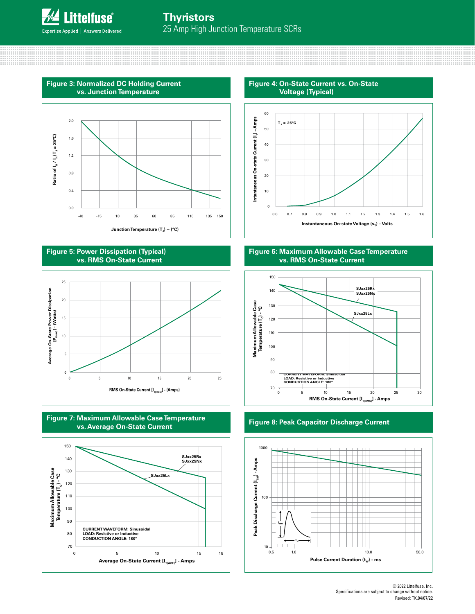



# **Figure 5: Power Dissipation (Typical) vs. RMS On-State Current**







**Figure 4: On-State Current vs. On-State Voltage (Typical)** 60 Intantaneous On-state Current (I<sub>T</sub>) - Amps **Intantaneous On-state Current (IT) – Amps**  $T_J = 25^{\circ}C$ 50 40 30 20 10 0 0.6 0.7 0.8 0.9 1.0 1.1 1.2 1.3 1.4 1.5 1.6 **Instantaneous On-state Voltage (v<sub>r</sub>) – Volts** 

# **Figure 6: Maximum Allowable Case Temperature vs. RMS On-State Current**



# **Figure 8: Peak Capacitor Discharge Current**

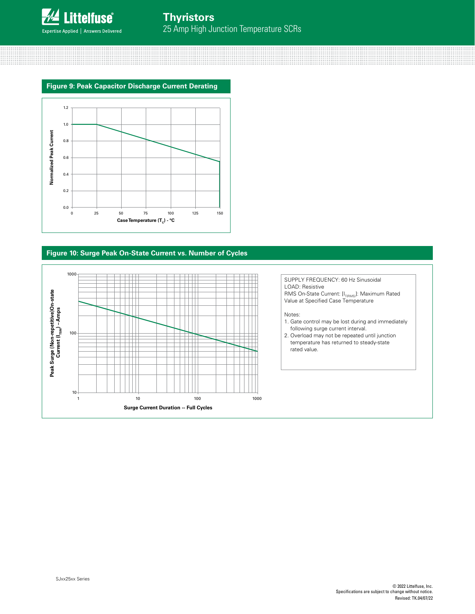



# **Figure 10: Surge Peak On-State Current vs. Number of Cycles**

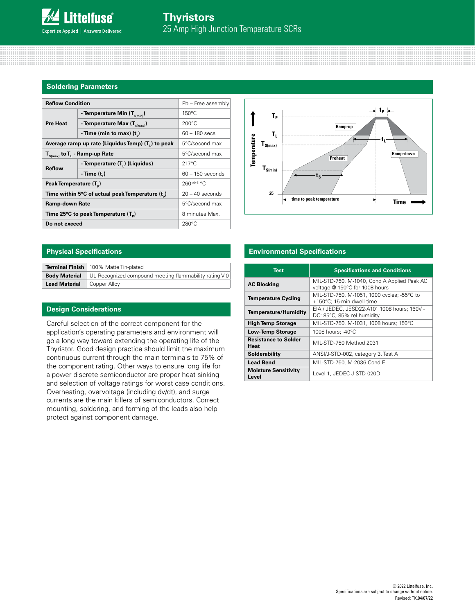#### **Soldering Parameters**

| <b>Reflow Condition</b>                           |                                                | Pb - Free assembly |  |
|---------------------------------------------------|------------------------------------------------|--------------------|--|
|                                                   | - Temperature Min $(T_{\text{s/min}})$         | $150^{\circ}$ C    |  |
| <b>Pre Heat</b>                                   | - Temperature Max $(T_{\text{simax}})$         | $200^{\circ}$ C    |  |
|                                                   | -Time (min to max) $(t_*)$                     | $60 - 180$ secs    |  |
| Average ramp up rate (Liquidus Temp) (T,) to peak |                                                | 5°C/second max     |  |
| $T_{\text{S(max)}}$ to $T_{L}$ - Ramp-up Rate     |                                                | 5°C/second max     |  |
| <b>Reflow</b>                                     | - Temperature (T <sub>1</sub> ) (Liquidus)     | $217^{\circ}$ C    |  |
|                                                   | - Time (t, )                                   | $60 - 150$ seconds |  |
| Peak Temperature (T <sub>n</sub> )                |                                                | $260^{+0/5}$ °C    |  |
|                                                   | Time within 5°C of actual peak Temperature (t) | $20 - 40$ seconds  |  |
| <b>Ramp-down Rate</b>                             |                                                | 5°C/second max     |  |
| Time 25°C to peak Temperature (T <sub>a</sub> )   |                                                | 8 minutes Max.     |  |
| Do not exceed                                     |                                                | $280^{\circ}$ C    |  |



|                      | <b>Terminal Finish</b> 100% Matte Tin-plated                                |
|----------------------|-----------------------------------------------------------------------------|
|                      | <b>Body Material</b> UL Recognized compound meeting flammability rating V-0 |
| <b>Lead Material</b> | Copper Alloy                                                                |

#### **Design Considerations**

Careful selection of the correct component for the application's operating parameters and environment will go a long way toward extending the operating life of the Thyristor. Good design practice should limit the maximum continuous current through the main terminals to 75% of the component rating. Other ways to ensure long life for a power discrete semiconductor are proper heat sinking and selection of voltage ratings for worst case conditions. Overheating, overvoltage (including dv/dt), and surge currents are the main killers of semiconductors. Correct mounting, soldering, and forming of the leads also help protect against component damage.

# **Physical Specifications Environmental Specifications**

| <b>Test</b>                          | <b>Specifications and Conditions</b>                                          |
|--------------------------------------|-------------------------------------------------------------------------------|
| <b>AC Blocking</b>                   | MIL-STD-750, M-1040, Cond A Applied Peak AC<br>voltage @ 150°C for 1008 hours |
| <b>Temperature Cycling</b>           | MIL-STD-750, M-1051, 1000 cycles; -55°C to<br>+150°C; 15-min dwell-time       |
| <b>Temperature/Humidity</b>          | EIA / JEDEC, JESD22-A101 1008 hours; 160V -<br>DC: 85°C; 85% rel humidity     |
| <b>High Temp Storage</b>             | MIL-STD-750, M-1031, 1008 hours; 150°C                                        |
| <b>Low-Temp Storage</b>              | 1008 hours; -40°C                                                             |
| <b>Resistance to Solder</b><br>Heat  | MIL-STD-750 Method 2031                                                       |
| Solderability                        | ANSI/J-STD-002, category 3, Test A                                            |
| <b>Lead Bend</b>                     | MIL-STD-750, M-2036 Cond E                                                    |
| <b>Moisture Sensitivity</b><br>Level | Level 1, JEDEC-J-STD-020D                                                     |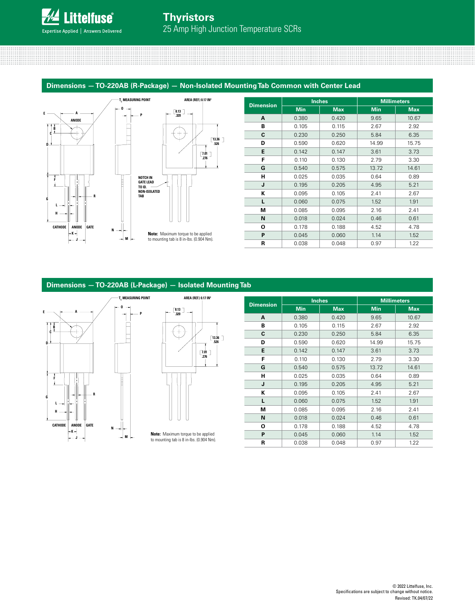

### **Dimensions — TO-220AB (R-Package) — Non-Isolated Mounting Tab Common with Center Lead**



| <b>Dimension</b> |            | <b>Inches</b> |            | <b>Millimeters</b> |
|------------------|------------|---------------|------------|--------------------|
|                  | <b>Min</b> | <b>Max</b>    | <b>Min</b> | <b>Max</b>         |
| A                | 0.380      | 0.420         | 9.65       | 10.67              |
| в                | 0.105      | 0.115         | 2.67       | 2.92               |
| C                | 0.230      | 0.250         | 5.84       | 6.35               |
| D                | 0.590      | 0.620         | 14.99      | 15.75              |
| E                | 0.142      | 0.147         | 3.61       | 3.73               |
| F                | 0.110      | 0.130         | 2.79       | 3.30               |
| G                | 0.540      | 0.575         | 13.72      | 14.61              |
| н                | 0.025      | 0.035         | 0.64       | 0.89               |
| J                | 0.195      | 0.205         | 4.95       | 5.21               |
| К                | 0.095      | 0.105         | 2.41       | 2.67               |
| L                | 0.060      | 0.075         | 1.52       | 1.91               |
| М                | 0.085      | 0.095         | 2.16       | 2.41               |
| N                | 0.018      | 0.024         | 0.46       | 0.61               |
| О                | 0.178      | 0.188         | 4.52       | 4.78               |
| P                | 0.045      | 0.060         | 1.14       | 1.52               |
| R                | 0.038      | 0.048         | 0.97       | 1.22               |

# **Dimensions — TO-220AB (L-Package) — Isolated Mounting Tab**





**Dimension Inches Millimeters Min Max Min Max A** | 0.380 | 0.420 | 9.65 | 10.67 **B** 0.105 0.115 2.67 2.92 **C** | 0.230 | 0.250 | 5.84 | 6.35 **D** | 0.590 | 0.620 | 14.99 | 15.75 **E** | 0.142 | 0.147 | 3.61 | 3.73 **F** | 0.110 | 0.130 | 2.79 | 3.30 **G** 0.540 0.575 13.72 14.61 **H** | 0.025 | 0.035 | 0.64 | 0.89 **J** 0.195 0.205 4.95 5.21 **K** 0.095 0.105 2.41 2.67 **L** 0.060 0.075 1.52 1.91 **M** 0.085 0.095 2.16 2.41 **N** | 0.018 | 0.024 | 0.46 | 0.61 **O** | 0.178 | 0.188 | 4.52 | 4.78 **P** | 0.045 | 0.060 | 1.14 | 1.52 **R** 0.038 0.048 0.97 1.22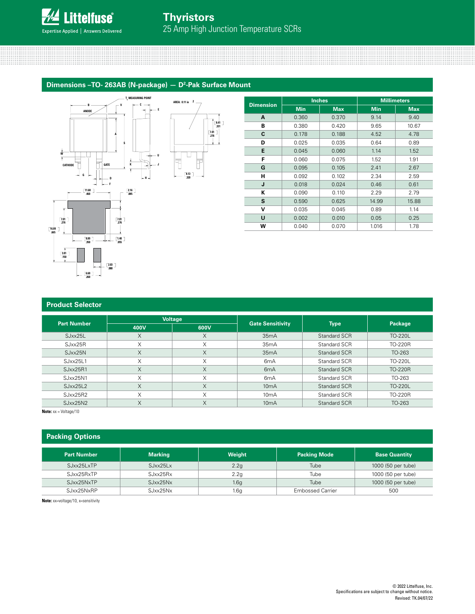

Dimensions –TO- 263AB (N-package) — D<sup>2</sup>-Pak Surface Mount



|                  |            | <b>Inches</b> |            | <b>Millimeters</b> |
|------------------|------------|---------------|------------|--------------------|
| <b>Dimension</b> | <b>Min</b> | <b>Max</b>    | <b>Min</b> | <b>Max</b>         |
| A                | 0.360      | 0.370         | 9.14       | 9.40               |
| в                | 0.380      | 0.420         | 9.65       | 10.67              |
| C                | 0.178      | 0.188         | 4.52       | 4.78               |
| D                | 0.025      | 0.035         | 0.64       | 0.89               |
| E                | 0.045      | 0.060         | 1.14       | 1.52               |
| F                | 0.060      | 0.075         | 1.52       | 1.91               |
| G                | 0.095      | 0.105         | 2.41       | 2.67               |
| н                | 0.092      | 0.102         | 2.34       | 2.59               |
| J                | 0.018      | 0.024         | 0.46       | 0.61               |
| К                | 0.090      | 0.110         | 2.29       | 2.79               |
| S                | 0.590      | 0.625         | 14.99      | 15.88              |
| v                | 0.035      | 0.045         | 0.89       | 1.14               |
| U                | 0.002      | 0.010         | 0.05       | 0.25               |
| W                | 0.040      | 0.070         | 1.016      | 1.78               |

| <b>Product Selector</b> |                |                   |                         |              |         |  |  |
|-------------------------|----------------|-------------------|-------------------------|--------------|---------|--|--|
| <b>Part Number</b>      | <b>Voltage</b> |                   | <b>Gate Sensitivity</b> | <b>Type</b>  | Package |  |  |
|                         | 400V           | 600V              |                         |              |         |  |  |
| $S$ Jxx $25L$           | X              | X                 | 35mA                    | Standard SCR | TO-220L |  |  |
| S.Jxx25R                | X              | $\checkmark$<br>⋏ | 35mA                    | Standard SCR | TO-220R |  |  |
| SJxx25N                 | X              | X                 | 35mA                    | Standard SCR | TO-263  |  |  |
| $S$ Jxx $25L1$          | X              | X                 | 6 <sub>m</sub> A        | Standard SCR | TO-220L |  |  |
| SJxx25R1                | $\times$       | X                 | 6 <sub>m</sub> A        | Standard SCR | TO-220R |  |  |
| SJxx25N1                | X              | X                 | 6 <sub>m</sub> A        | Standard SCR | TO-263  |  |  |
| S.Jxx2512               | $\times$       | X                 | 10mA                    | Standard SCR | TO-220L |  |  |
| SJxx25R2                | X              | X                 | 10mA                    | Standard SCR | TO-220R |  |  |
| SJxx25N2                | X              | X                 | 10mA                    | Standard SCR | TO-263  |  |  |

**Note:** xx = Voltage/10

| <b>Packing Options</b> |                |                  |                         |                      |
|------------------------|----------------|------------------|-------------------------|----------------------|
| <b>Part Number</b>     | <b>Marking</b> | Weight           | <b>Packing Mode</b>     | <b>Base Quantity</b> |
| SJxx25LxTP             | $S.$ Jxx25 Lx  | 2.2g             | Tube                    | 1000 (50 per tube)   |
| SJxx25RxTP             | SJxx25Rx       | 2.2g             | Tube                    | 1000 (50 per tube)   |
| SJxx25NxTP             | SJxx25Nx       | 1.6 <sub>g</sub> | Tube                    | 1000 (50 per tube)   |
| SJxx25NxRP             | SJxx25Nx       | 1.6g             | <b>Embossed Carrier</b> | 500                  |

**Note:** xx=voltage/10, x=sensitivity